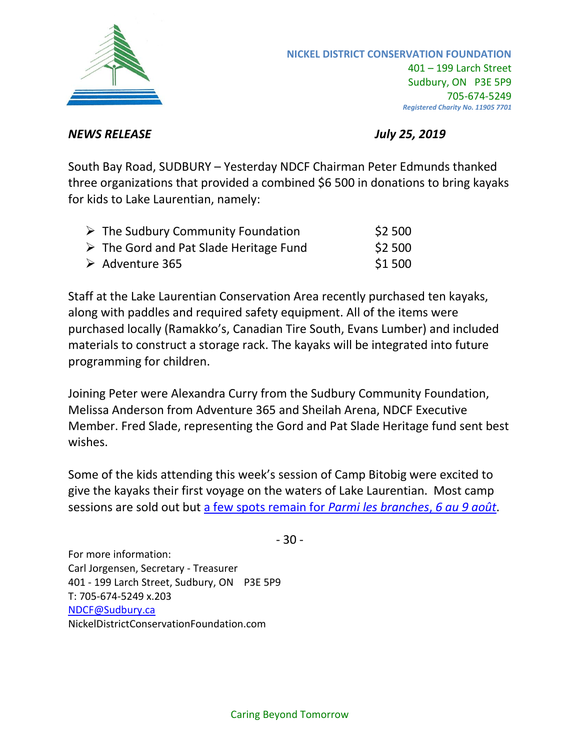

## *NEWS RELEASE July 25, 2019*

South Bay Road, SUDBURY – Yesterday NDCF Chairman Peter Edmunds thanked three organizations that provided a combined \$6 500 in donations to bring kayaks for kids to Lake Laurentian, namely:

| $\triangleright$ The Sudbury Community Foundation     | \$2500  |
|-------------------------------------------------------|---------|
| $\triangleright$ The Gord and Pat Slade Heritage Fund | \$2 500 |
| $\triangleright$ Adventure 365                        | \$1 500 |

Staff at the Lake Laurentian Conservation Area recently purchased ten kayaks, along with paddles and required safety equipment. All of the items were purchased locally (Ramakko's, Canadian Tire South, Evans Lumber) and included materials to construct a storage rack. The kayaks will be integrated into future programming for children.

Joining Peter were Alexandra Curry from the Sudbury Community Foundation, Melissa Anderson from Adventure 365 and Sheilah Arena, NDCF Executive Member. Fred Slade, representing the Gord and Pat Slade Heritage fund sent best wishes.

Some of the kids attending this week's session of Camp Bitobig were excited to give the kayaks their first voyage on the waters of Lake Laurentian. Most camp sessions are sold out but [a few spots remain for](https://www.eventbrite.ca/e/2019-camp-bitobig-open-registration-tickets-56042761408) *Parmi les branches*, *6 au 9 août*.

- 30 -

For more information: Carl Jorgensen, Secretary - Treasurer 401 - 199 Larch Street, Sudbury, ON P3E 5P9 T: 705-674-5249 x.203 [NDCF@Sudbury.ca](mailto:NDCF@Sudbury.ca) NickelDistrictConservationFoundation.com